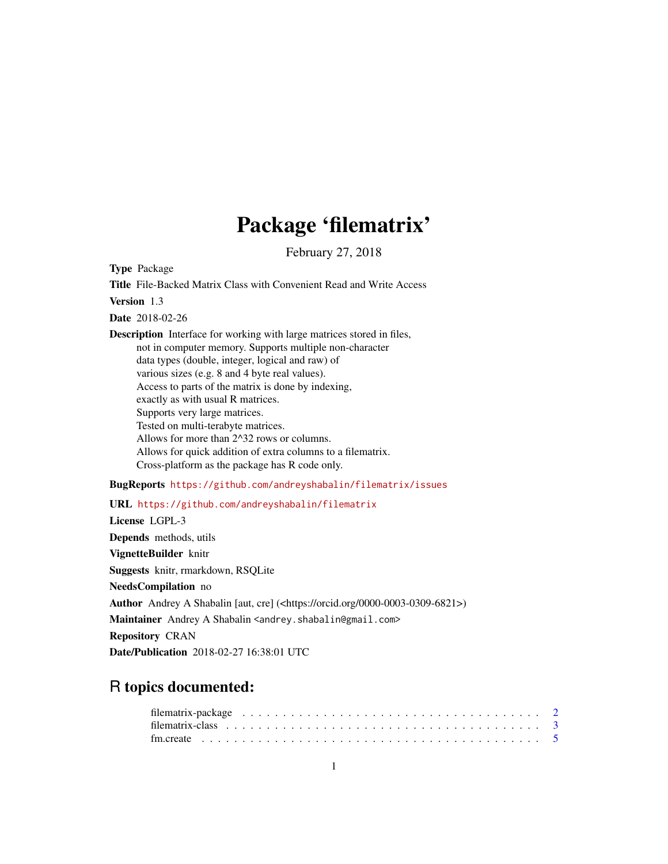## Package 'filematrix'

February 27, 2018

<span id="page-0-0"></span>Type Package

Title File-Backed Matrix Class with Convenient Read and Write Access Version 1.3 Date 2018-02-26 Description Interface for working with large matrices stored in files, not in computer memory. Supports multiple non-character data types (double, integer, logical and raw) of various sizes (e.g. 8 and 4 byte real values). Access to parts of the matrix is done by indexing, exactly as with usual R matrices. Supports very large matrices. Tested on multi-terabyte matrices. Allows for more than 2^32 rows or columns. Allows for quick addition of extra columns to a filematrix. Cross-platform as the package has R code only. BugReports <https://github.com/andreyshabalin/filematrix/issues> URL <https://github.com/andreyshabalin/filematrix>

License LGPL-3 Depends methods, utils VignetteBuilder knitr Suggests knitr, rmarkdown, RSQLite NeedsCompilation no Author Andrey A Shabalin [aut, cre] (<https://orcid.org/0000-0003-0309-6821>) Maintainer Andrey A Shabalin <andrey.shabalin@gmail.com> Repository CRAN Date/Publication 2018-02-27 16:38:01 UTC

### R topics documented: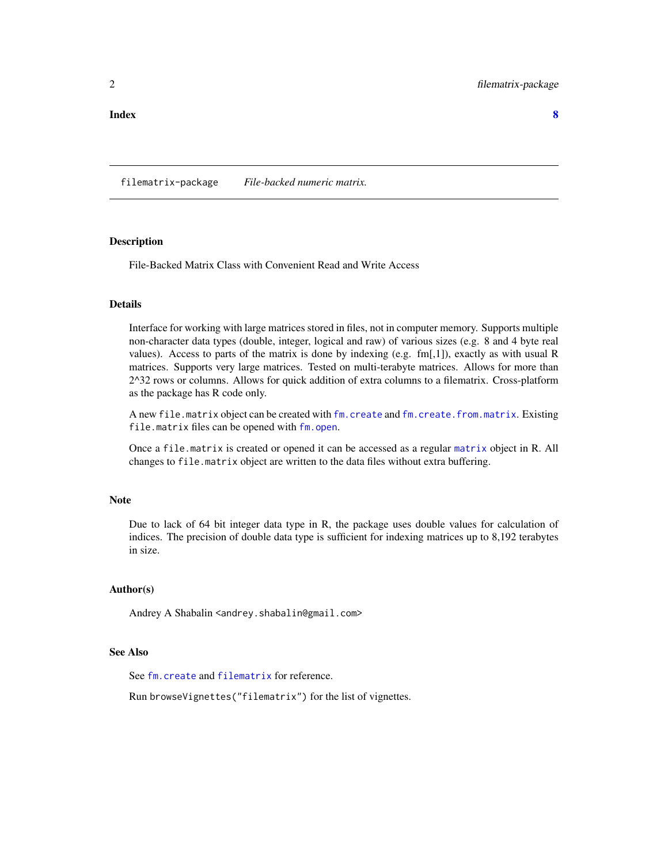<span id="page-1-0"></span>filematrix-package *File-backed numeric matrix.*

#### **Description**

File-Backed Matrix Class with Convenient Read and Write Access

#### Details

Interface for working with large matrices stored in files, not in computer memory. Supports multiple non-character data types (double, integer, logical and raw) of various sizes (e.g. 8 and 4 byte real values). Access to parts of the matrix is done by indexing (e.g. fm[,1]), exactly as with usual R matrices. Supports very large matrices. Tested on multi-terabyte matrices. Allows for more than 2^32 rows or columns. Allows for quick addition of extra columns to a filematrix. Cross-platform as the package has R code only.

A new file.matrix object can be created with [fm.create](#page-4-1) and [fm.create.from.matrix](#page-4-2). Existing file.matrix files can be opened with [fm.open](#page-4-2).

Once a file.matrix is created or opened it can be accessed as a regular [matrix](#page-0-0) object in R. All changes to file.matrix object are written to the data files without extra buffering.

#### Note

Due to lack of 64 bit integer data type in R, the package uses double values for calculation of indices. The precision of double data type is sufficient for indexing matrices up to 8,192 terabytes in size.

#### Author(s)

Andrey A Shabalin <andrey.shabalin@gmail.com>

#### See Also

See [fm.create](#page-4-1) and [filematrix](#page-2-1) for reference.

Run browseVignettes("filematrix") for the list of vignettes.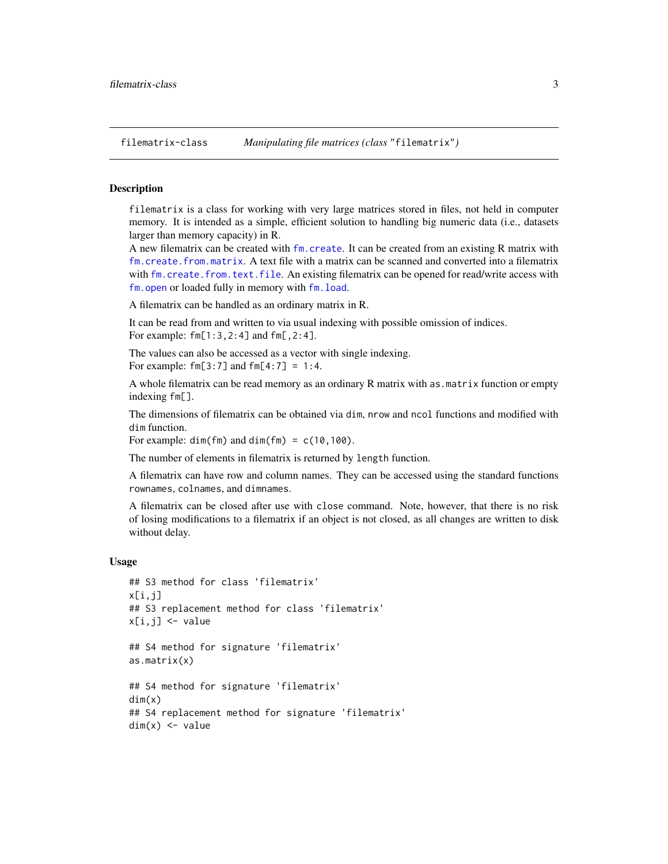<span id="page-2-1"></span><span id="page-2-0"></span>

#### Description

filematrix is a class for working with very large matrices stored in files, not held in computer memory. It is intended as a simple, efficient solution to handling big numeric data (i.e., datasets larger than memory capacity) in R.

A new filematrix can be created with [fm.create](#page-4-1). It can be created from an existing R matrix with [fm.create.from.matrix](#page-4-2). A text file with a matrix can be scanned and converted into a filematrix with [fm.create.from.text.file](#page-4-2). An existing filematrix can be opened for read/write access with [fm.open](#page-4-2) or loaded fully in memory with [fm.load](#page-4-2).

A filematrix can be handled as an ordinary matrix in R.

It can be read from and written to via usual indexing with possible omission of indices. For example: fm[1:3,2:4] and fm[,2:4].

The values can also be accessed as a vector with single indexing.

For example:  $fm[3:7]$  and  $fm[4:7] = 1:4$ .

A whole filematrix can be read memory as an ordinary R matrix with as matrix function or empty indexing fm[].

The dimensions of filematrix can be obtained via dim, nrow and ncol functions and modified with dim function.

For example:  $dim(fm)$  and  $dim(fm) = c(10,100)$ .

The number of elements in filematrix is returned by length function.

A filematrix can have row and column names. They can be accessed using the standard functions rownames, colnames, and dimnames.

A filematrix can be closed after use with close command. Note, however, that there is no risk of losing modifications to a filematrix if an object is not closed, as all changes are written to disk without delay.

#### Usage

```
## S3 method for class 'filematrix'
x[i,j]
## S3 replacement method for class 'filematrix'
x[i,j] < - value
## S4 method for signature 'filematrix'
as.matrix(x)
## S4 method for signature 'filematrix'
dim(x)
## S4 replacement method for signature 'filematrix'
dim(x) <- value
```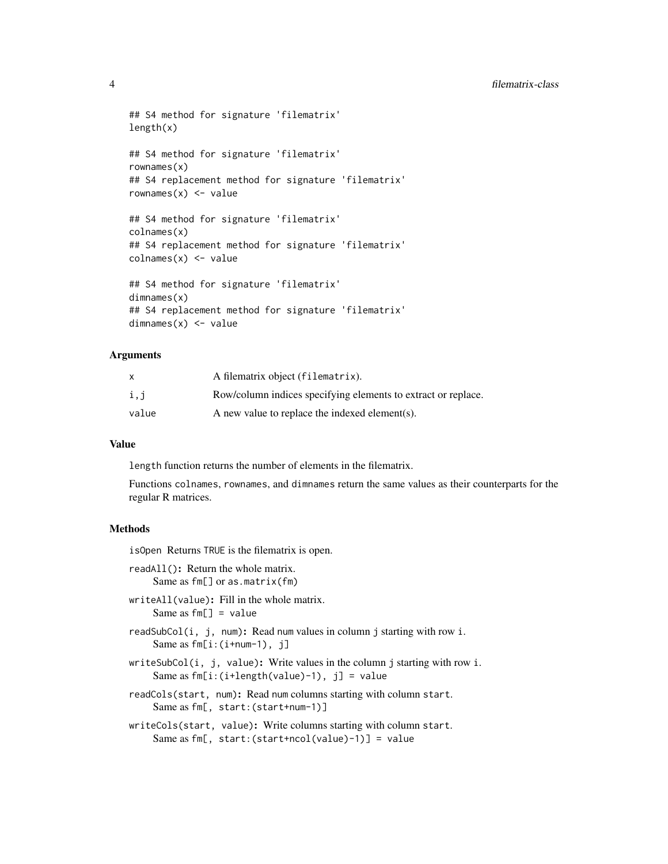#### 4 filematrix-class

```
## S4 method for signature 'filematrix'
length(x)
## S4 method for signature 'filematrix'
rownames(x)
## S4 replacement method for signature 'filematrix'
rownames(x) <- value
## S4 method for signature 'filematrix'
colnames(x)
## S4 replacement method for signature 'filematrix'
colnames(x) <- value
## S4 method for signature 'filematrix'
dimnames(x)
## S4 replacement method for signature 'filematrix'
dimnames(x) <- value
```
#### Arguments

|       | A filematrix object (filematrix).                             |
|-------|---------------------------------------------------------------|
| i,j   | Row/column indices specifying elements to extract or replace. |
| value | A new value to replace the indexed element(s).                |

#### Value

length function returns the number of elements in the filematrix.

Functions colnames, rownames, and dimnames return the same values as their counterparts for the regular R matrices.

#### Methods

isOpen Returns TRUE is the filematrix is open.

- readAll(): Return the whole matrix. Same as fm[] or as.matrix(fm)
- writeAll(value): Fill in the whole matrix. Same as  $fm[] = value$
- readSubCol(i, j, num): Read num values in column j starting with row i. Same as  $fm[i:(i+num-1), j]$
- writeSubCol(i, j, value): Write values in the column j starting with row i. Same as  $fm[i:(i+length(value)-1), j] = value$
- readCols(start, num): Read num columns starting with column start. Same as fm[, start:(start+num-1)]
- writeCols(start, value): Write columns starting with column start. Same as fm[, start:(start+ncol(value)-1)] = value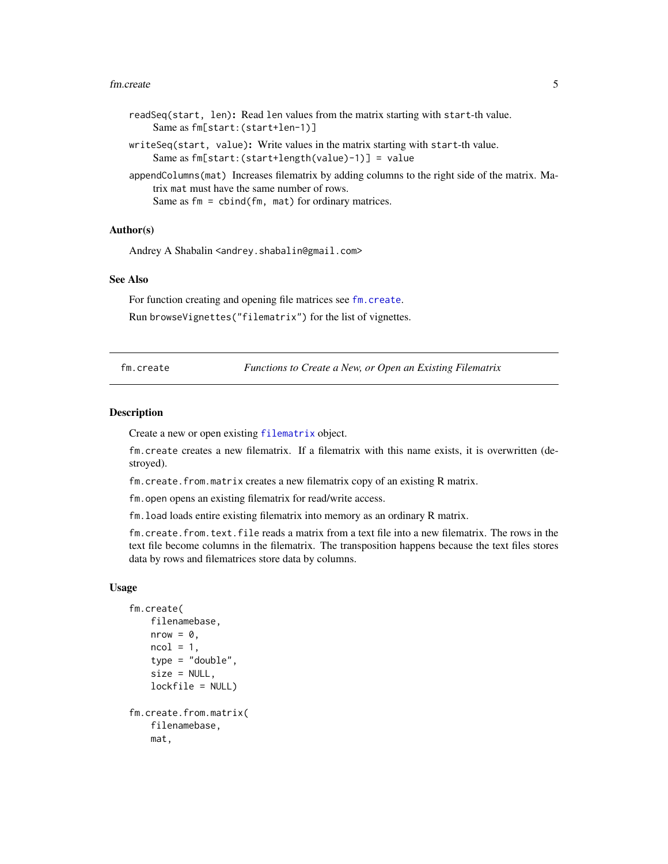#### <span id="page-4-0"></span>fm.create 5

- readSeq(start, len): Read len values from the matrix starting with start-th value. Same as fm[start:(start+len-1)]
- writeSeq(start, value): Write values in the matrix starting with start-th value. Same as fm[start:(start+length(value)-1)] = value

appendColumns(mat) Increases filematrix by adding columns to the right side of the matrix. Matrix mat must have the same number of rows. Same as  $fm = \text{cbind}(fm, \text{mat})$  for ordinary matrices.

#### Author(s)

Andrey A Shabalin <andrey.shabalin@gmail.com>

#### See Also

For function creating and opening file matrices see [fm.create](#page-4-1).

Run browseVignettes("filematrix") for the list of vignettes.

<span id="page-4-1"></span>fm.create *Functions to Create a New, or Open an Existing Filematrix*

#### <span id="page-4-2"></span>Description

Create a new or open existing [filematrix](#page-2-1) object.

fm.create creates a new filematrix. If a filematrix with this name exists, it is overwritten (destroyed).

fm.create.from.matrix creates a new filematrix copy of an existing R matrix.

fm.open opens an existing filematrix for read/write access.

fm.load loads entire existing filematrix into memory as an ordinary R matrix.

fm.create.from.text.file reads a matrix from a text file into a new filematrix. The rows in the text file become columns in the filematrix. The transposition happens because the text files stores data by rows and filematrices store data by columns.

#### Usage

```
fm.create(
    filenamebase,
    nrow = 0,ncol = 1,
    type = "double",
    size = NULL,
    lockfile = NULL)
fm.create.from.matrix(
    filenamebase,
    mat,
```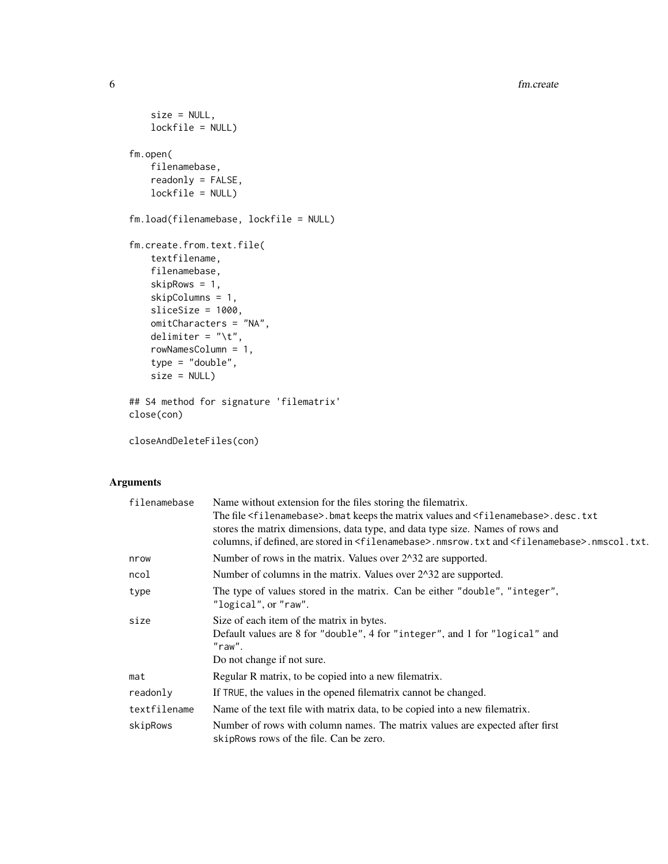6 fm.create

```
size = NULL,
   lockfile = NULL)
fm.open(
   filenamebase,
   readonly = FALSE,
   lockfile = NULL)
fm.load(filenamebase, lockfile = NULL)
fm.create.from.text.file(
   textfilename,
   filenamebase,
   skipRows = 1,
   skipColumns = 1,
   sliceSize = 1000,
   omitCharacters = "NA",
   delimiter = "\iota.
   rowNamesColumn = 1,
   type = "double",size = NULL)
## S4 method for signature 'filematrix'
close(con)
```
closeAndDeleteFiles(con)

#### Arguments

| filenamebase | Name without extension for the files storing the filematrix.                                                              |  |  |  |  |  |  |  |  |  |  |
|--------------|---------------------------------------------------------------------------------------------------------------------------|--|--|--|--|--|--|--|--|--|--|
|              | The file <filenamebase>.bmat keeps the matrix values and <filenamebase>.desc.txt</filenamebase></filenamebase>            |  |  |  |  |  |  |  |  |  |  |
|              | stores the matrix dimensions, data type, and data type size. Names of rows and                                            |  |  |  |  |  |  |  |  |  |  |
|              | columns, if defined, are stored in <filenamebase>.nmsrow.txt and <filenamebase>.nmscol.txt.</filenamebase></filenamebase> |  |  |  |  |  |  |  |  |  |  |
| nrow         | Number of rows in the matrix. Values over 2^32 are supported.                                                             |  |  |  |  |  |  |  |  |  |  |
| ncol         | Number of columns in the matrix. Values over 2^32 are supported.                                                          |  |  |  |  |  |  |  |  |  |  |
| type         | The type of values stored in the matrix. Can be either "double", "integer",<br>"logical", or "raw".                       |  |  |  |  |  |  |  |  |  |  |
| size         | Size of each item of the matrix in bytes.                                                                                 |  |  |  |  |  |  |  |  |  |  |
|              | Default values are 8 for "double", 4 for "integer", and 1 for "logical" and<br>"raw".                                     |  |  |  |  |  |  |  |  |  |  |
|              | Do not change if not sure.                                                                                                |  |  |  |  |  |  |  |  |  |  |
| mat          | Regular R matrix, to be copied into a new filematrix.                                                                     |  |  |  |  |  |  |  |  |  |  |
| readonly     | If TRUE, the values in the opened filematrix cannot be changed.                                                           |  |  |  |  |  |  |  |  |  |  |
| textfilename | Name of the text file with matrix data, to be copied into a new filematrix.                                               |  |  |  |  |  |  |  |  |  |  |
| skipRows     | Number of rows with column names. The matrix values are expected after first<br>skipRows rows of the file. Can be zero.   |  |  |  |  |  |  |  |  |  |  |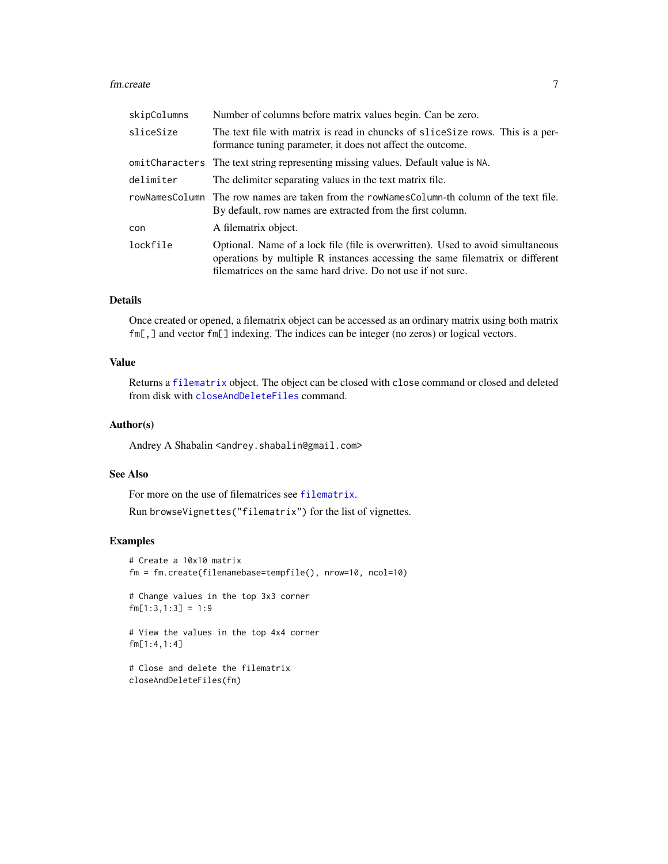#### <span id="page-6-0"></span>fm.create 7

| skipColumns | Number of columns before matrix values begin. Can be zero.                                                                                                                                                                       |
|-------------|----------------------------------------------------------------------------------------------------------------------------------------------------------------------------------------------------------------------------------|
| sliceSize   | The text file with matrix is read in chuncks of slice Size rows. This is a per-<br>formance tuning parameter, it does not affect the outcome.                                                                                    |
|             | omitCharacters The text string representing missing values. Default value is NA.                                                                                                                                                 |
| delimiter   | The delimiter separating values in the text matrix file.                                                                                                                                                                         |
|             | rowNamesColumn The row names are taken from the rowNamesColumn-th column of the text file.<br>By default, row names are extracted from the first column.                                                                         |
| con         | A filematrix object.                                                                                                                                                                                                             |
| lockfile    | Optional. Name of a lock file (file is overwritten). Used to avoid simultaneous<br>operations by multiple R instances accessing the same filematrix or different<br>filematrices on the same hard drive. Do not use if not sure. |

#### Details

Once created or opened, a filematrix object can be accessed as an ordinary matrix using both matrix fm[,] and vector fm[] indexing. The indices can be integer (no zeros) or logical vectors.

#### Value

Returns a [filematrix](#page-2-1) object. The object can be closed with close command or closed and deleted from disk with [closeAndDeleteFiles](#page-4-2) command.

#### Author(s)

Andrey A Shabalin <andrey.shabalin@gmail.com>

#### See Also

For more on the use of filematrices see [filematrix](#page-2-1).

Run browseVignettes("filematrix") for the list of vignettes.

#### Examples

```
# Create a 10x10 matrix
fm = fm.create(filenamebase=tempfile(), nrow=10, ncol=10)
# Change values in the top 3x3 corner
fm[1:3,1:3] = 1:9# View the values in the top 4x4 corner
fm[1:4,1:4]
# Close and delete the filematrix
closeAndDeleteFiles(fm)
```